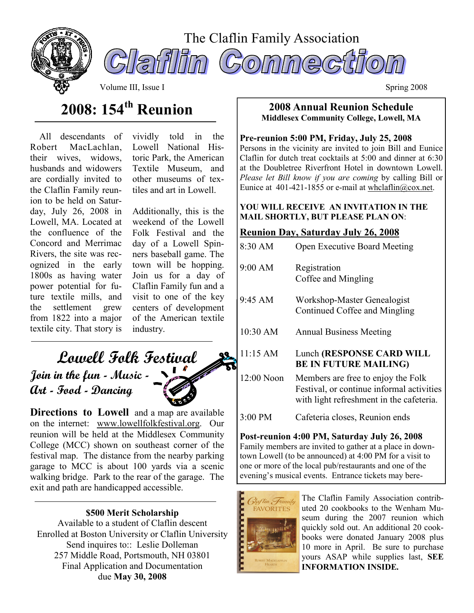



Volume III, Issue I Spring 2008

# 2008: 154<sup>th</sup> Reunion

 All descendants of Robert MacLachlan, their wives, widows, husbands and widowers are cordially invited to the Claflin Family reunion to be held on Saturday, July 26, 2008 in Lowell, MA. Located at the confluence of the Concord and Merrimac Rivers, the site was recognized in the early 1800s as having water power potential for future textile mills, and the settlement grew from 1822 into a major textile city. That story is

vividly told in the Lowell National Historic Park, the American Textile Museum, and other museums of textiles and art in Lowell.

Additionally, this is the weekend of the Lowell Folk Festival and the day of a Lowell Spinners baseball game. The town will be hopping. Join us for a day of Claflin Family fun and a visit to one of the key centers of development of the American textile industry.

# Lowell Folk Festival Join in the fun - Music - Art - Food - Dancing

Directions to Lowell and a map are available on the internet: www.lowellfolkfestival.org. Our reunion will be held at the Middlesex Community College (MCC) shown on southeast corner of the festival map. The distance from the nearby parking garage to MCC is about 100 yards via a scenic walking bridge. Park to the rear of the garage. The exit and path are handicapped accessible.

# \$500 Merit Scholarship

Available to a student of Claflin descent Enrolled at Boston University or Claflin University Send inquires to:: Leslie Dolleman 257 Middle Road, Portsmouth, NH 03801 Final Application and Documentation due May 30, 2008

#### 2008 Annual Reunion Schedule Middlesex Community College, Lowell, MA

## Pre-reunion 5:00 PM, Friday, July 25, 2008

Persons in the vicinity are invited to join Bill and Eunice Claflin for dutch treat cocktails at 5:00 and dinner at 6:30 at the Doubletree Riverfront Hotel in downtown Lowell. Please let Bill know if you are coming by calling Bill or Eunice at 401-421-1855 or e-mail at whclaflin@cox.net.

## YOU WILL RECEIVE AN INVITATION IN THE MAIL SHORTLY, BUT PLEASE PLAN ON:

# Reunion Day, Saturday July 26, 2008

| 8:30 AM    | Open Executive Board Meeting                                                                                                |  |  |
|------------|-----------------------------------------------------------------------------------------------------------------------------|--|--|
| 9:00 AM    | Registration<br>Coffee and Mingling                                                                                         |  |  |
| 9:45 AM    | Workshop-Master Genealogist<br>Continued Coffee and Mingling                                                                |  |  |
| $10:30$ AM | <b>Annual Business Meeting</b>                                                                                              |  |  |
| $11:15$ AM | Lunch (RESPONSE CARD WILL<br><b>BE IN FUTURE MAILING)</b>                                                                   |  |  |
| 12:00 Noon | Members are free to enjoy the Folk<br>Festival, or continue informal activities<br>with light refreshment in the cafeteria. |  |  |
| 3:00 PM    | Cafeteria closes, Reunion ends                                                                                              |  |  |
|            |                                                                                                                             |  |  |

#### Post-reunion 4:00 PM, Saturday July 26, 2008 Family members are invited to gather at a place in downtown Lowell (to be announced) at 4:00 PM for a visit to one or more of the local pub/restaurants and one of the evening's musical events. Entrance tickets may bere-



The Claflin Family Association contributed 20 cookbooks to the Wenham Museum during the 2007 reunion which quickly sold out. An additional 20 cookbooks were donated January 2008 plus 10 more in April. Be sure to purchase yours ASAP while supplies last, SEE INFORMATION INSIDE.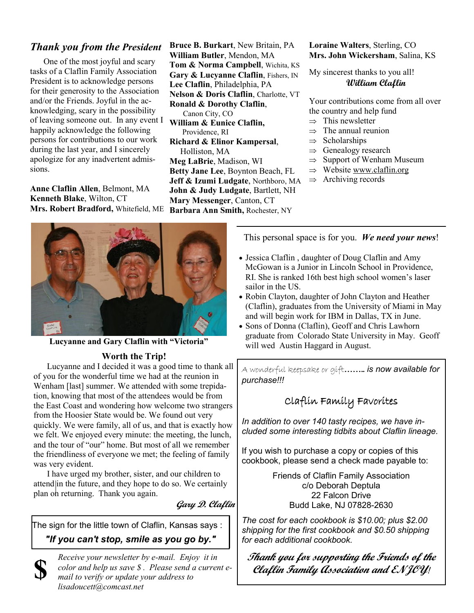# Thank you from the President

One of the most joyful and scary tasks of a Claflin Family Association President is to acknowledge persons for their generosity to the Association and/or the Friends. Joyful in the acknowledging, scary in the possibility of leaving someone out. In any event I happily acknowledge the following persons for contributions to our work during the last year, and I sincerely apologize for any inadvertent admissions.

Anne Claflin Allen, Belmont, MA Kenneth Blake, Wilton, CT Mrs. Robert Bradford, Whitefield, ME

Bruce B. Burkart, New Britain, PA William Butler, Mendon, MA Tom & Norma Campbell, Wichita, KS Gary & Lucyanne Claflin, Fishers, IN Lee Claflin, Philadelphia, PA Nelson & Doris Claflin, Charlotte, VT Ronald & Dorothy Claflin, Canon City, CO William & Eunice Claflin, Providence, RI Richard & Elinor Kampersal, Holliston, MA Meg LaBrie, Madison, WI Betty Jane Lee, Boynton Beach, FL Jeff & Izumi Ludgate, Northboro, MA John & Judy Ludgate, Bartlett, NH Mary Messenger, Canton, CT Barbara Ann Smith, Rochester, NY

Loraine Walters, Sterling, CO Mrs. John Wickersham, Salina, KS

My sincerest thanks to you all! William Claflin

Your contributions come from all over the country and help fund

- $\Rightarrow$  This newsletter
- $\Rightarrow$  The annual reunion
- $\Rightarrow$  Scholarships
- $\Rightarrow$  Genealogy research
- $\Rightarrow$  Support of Wenham Museum
- $\Rightarrow$  Website www.claflin.org
- $\Rightarrow$  Archiving records



Lucyanne and Gary Claflin with "Victoria"

### Worth the Trip!

Lucyanne and I decided it was a good time to thank all of you for the wonderful time we had at the reunion in Wenham [last] summer. We attended with some trepidation, knowing that most of the attendees would be from the East Coast and wondering how welcome two strangers from the Hoosier State would be. We found out very quickly. We were family, all of us, and that is exactly how we felt. We enjoyed every minute: the meeting, the lunch, and the tour of "our" home. But most of all we remember the friendliness of everyone we met; the feeling of family was very evident.

 I have urged my brother, sister, and our children to attend in the future, and they hope to do so. We certainly plan on returning. Thank you again.

Gary D. Claflin

The sign for the little town of Claflin, Kansas says :

"If you can't stop, smile as you go by."



Receive your newsletter by e-mail. Enjoy it in color and help us save \$ . Please send a current email to verify or update your address to lisadoucett@comcast.net

This personal space is for you. We need your news!

- Jessica Claflin , daughter of Doug Claflin and Amy McGowan is a Junior in Lincoln School in Providence, RI. She is ranked 16th best high school women's laser sailor in the US.
- Robin Clayton, daughter of John Clayton and Heather (Claflin), graduates from the University of Miami in May and will begin work for IBM in Dallas, TX in June.
- Sons of Donna (Claflin), Geoff and Chris Lawhorn graduate from Colorado State University in May. Geoff will wed Austin Haggard in August.

A wonderful keepsake or gift........ is now available for purchase!!!

# Claflin Family Favorites

In addition to over 140 tasty recipes, we have included some interesting tidbits about Claflin lineage.

If you wish to purchase a copy or copies of this cookbook, please send a check made payable to:

> Friends of Claflin Family Association c/o Deborah Deptula 22 Falcon Drive Budd Lake, NJ 07828-2630

The cost for each cookbook is \$10.00; plus \$2.00 shipping for the first cookbook and \$0.50 shipping for each additional cookbook.

Thank you for supporting the Friends of the Claftin Family Association and ENJOY!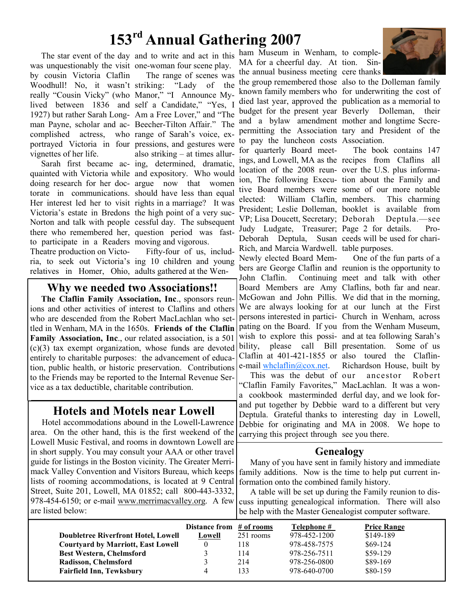# 153rd Annual Gathering 2007

was unquestionably the visit one-woman four scene play. by cousin Victoria Claflin Woodhull! No, it wasn't striking: really "Cousin Vicky" (who Manor," "I Announce Mylived between 1836 and self a Candidate," "Yes, I 1927) but rather Sarah Long-Am a Free Lover," and "The man Payne, scholar and ac-Beecher-Tilton Affair." The complished actress, portrayed Victoria in four pressions, and gestures were vignettes of her life.

quainted with Victoria while and expository. Who would doing research for her doc-argue now that women torate in communications. should have less than equal Her interest led her to visit rights in a marriage? It was Victoria's estate in Bredons the high point of a very suc-Norton and talk with people cessful day. The subsequent there who remembered her, question period was fastto participate in a Readers moving and vigorous. Theatre production on Victorelatives in Homer, Ohio, adults gathered at the Wen-

The star event of the day and to write and act in this Sarah first became ac-ing, determined, dramatic, The range of scenes was "Lady of the who range of Sarah's voice, exalso striking – at times allur-

ria, to seek out Victoria's ing 10 children and young Fifty-four of us, includ-

### Why we needed two Associations!!

The Claflin Family Association, Inc., sponsors reunions and other activities of interest to Claflins and others who are descended from the Robert MacLachlan who settled in Wenham, MA in the 1650s. Friends of the Claflin Family Association, Inc., our related association, is a 501 (c)(3) tax exempt organization, whose funds are devoted entirely to charitable purposes: the advancement of education, public health, or historic preservation. Contributions to the Friends may be reported to the Internal Revenue Service as a tax deductible, charitable contribution.

# Hotels and Motels near Lowell

Hotel accommodations abound in the Lowell-Lawrence area. On the other hand, this is the first weekend of the Lowell Music Festival, and rooms in downtown Lowell are in short supply. You may consult your AAA or other travel guide for listings in the Boston vicinity. The Greater Merrimack Valley Convention and Visitors Bureau, which keeps lists of rooming accommodations, is located at 9 Central Street, Suite 201, Lowell, MA 01852; call 800-443-3332, 978-454-6150; or e-mail www.merrimacvalley.org. A few are listed below:

ham Museum in Wenham, to comple-MA for a cheerful day. At tion. Sinthe annual business meeting cere thanks

the group remembered those also to the Dolleman family known family members who for underwriting the cost of died last year, approved the publication as a memorial to budget for the present year Beverly Dolleman, their and a bylaw amendment mother and longtime Secrepermitting the Association tary and President of the to pay the luncheon costs Association. for quarterly Board meetings, and Lowell, MA as the recipes from Claflins all location of the 2008 reun-over the U.S. plus informaion, The following Execu-tion about the Family and tive Board members were some of our more notable elected: William Claflin, President; Leslie Dolleman, booklet is available from VP; Lisa Doucett, Secretary; Deborah Deptula.—see Judy Ludgate, Treasurer; Page 2 for details. Pro-Deborah Deptula, Rich, and Marcia Wardwell. table purposes. Newly elected Board Members are George Claflin and reunion is the opportunity to John Claflin. Board Members are Amy Claflins, both far and near. McGowan and John Pillis. We did that in the morning, We are always looking for at our lunch at the First persons interested in partici-Church in Wenham, across pating on the Board. If you from the Wenham Museum, wish to explore this possi-and at tea following Sarah's bility, please call Bill presentation. Some of us Claflin at 401-421-1855 or also toured the Clafline-mail whclaflin@cox.net.

This was the debut of "Claflin Family Favorites," MacLachlan. It was a wona cookbook masterminded derful day, and we look forand put together by Debbie ward to a different but very Deptula. Grateful thanks to interesting day in Lowell, Debbie for originating and MA in 2008. We hope to carrying this project through see you there.



The book contains 147 This charming. Susan ceeds will be used for chari-

One of the fun parts of a Continuing meet and talk with other Richardson House, built by ancestor Robert

### Genealogy

Many of you have sent in family history and immediate family additions. Now is the time to help put current information onto the combined family history.

A table will be set up during the Family reunion to discuss inputting genealogical information. There will also be help with the Master Genealogist computer software.

|                                            | Distance from # of rooms |           | Telephone #  | <b>Price Range</b> |
|--------------------------------------------|--------------------------|-----------|--------------|--------------------|
| <b>Doubletree Riverfront Hotel, Lowell</b> | Lowell                   | 251 rooms | 978-452-1200 | \$149-189          |
| <b>Courtyard by Marriott, East Lowell</b>  |                          | 118       | 978-458-7575 | $$69-124$          |
| <b>Best Western, Chelmsford</b>            |                          | 114       | 978-256-7511 | $$59-129$          |
| Radisson, Chelmsford                       |                          | 214       | 978-256-0800 | \$89-169           |
| <b>Fairfield Inn, Tewksbury</b>            |                          | 133       | 978-640-0700 | \$80-159           |